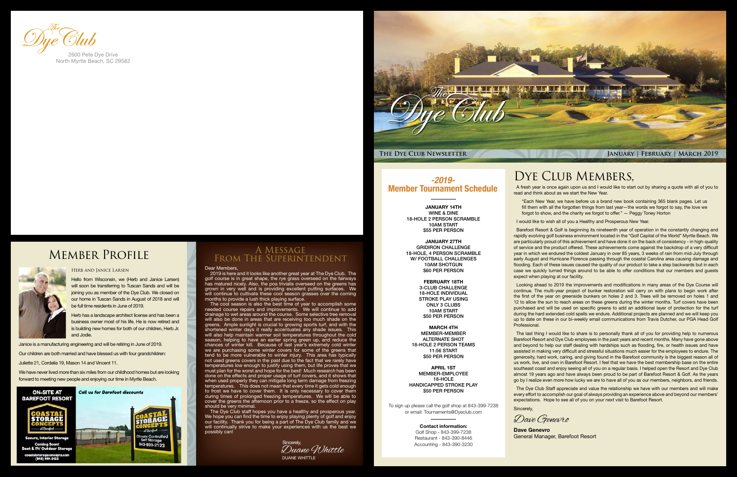

### DYE CLUB MEMBERS,

#### Dear Members,

2019 is here and it looks like another great year at The Dye Club. The golf course is in great shape, the rye grass overseed on the fairways has matured nicely. Also, the poa trivialis overseed on the greens has grown in very well and is providing excellent putting surfaces. We will continue to cultivate these cool season grasses over the coming months to provide a lush thick playing surface.

The cool season is also the best time of year to accomplish some needed course repairs and improvements. We will continue to add drainage to wet areas around the course. Some selective tree removal will also be done in areas that are receiving too much shade on the greens. Ample sunlight is crucial to growing sports turf, and with the shortened winter days it really accentuates any shade issues. This will also help maintain warmer soil temperatures throughout the cold season, helping to have an earlier spring green up, and reduce the chances of winter kill. Because of last year's extremely cold winter we are purchasing some winter covers for some of the greens that tend to be more vulnerable to winter injury. This area has typically not used greens covers in the past due to the fact that we rarely have temperatures low enough to justify using them, but life proves that we must plan for the worst and hope for the best! Much research has been done on the effects and proper usage of turf covers, and it shows that when used properly they can mitigate long term damage from freezing temperatures. This does not mean that every time it gets cold enough to frost we have to cover them. It is only necessary to cover them during times of prolonged freezing temperatures. We will be able to cover the greens the afternoon prior to a freeze, so the effect on play should be very minimal.

We have never lived more than six miles from our childhood homes but are looking forward to meeting new people and enjoying our time in Myrtle Beach.

> The Dye Club staff hopes you have a healthy and prosperous year. We hope you can find the time to enjoy playing plenty of golf and enjoy our facility. Thank you for being a part of The Dye Club family and we will continually strive to make your experiences with us the best we possibly can!

#### A Message From The Superintendent



Hello from Wisconsin, we (Herb and Janice Larsen) will soon be transferring to Tuscan Sands and will be joining you as member of the Dye Club. We closed on our home in Tuscan Sands in August of 2018 and will be full time residents in June of 2019.

Herb has a landscape architect license and has been a business owner most of his life. He is now retired and is building new homes for both of our children, Herb Jr. and Jodie.

Janice is a manufacturing engineering and will be retiring in June of 2019.

Our children are both married and have blessed us with four grandchildren:

Juliette 21, Cordelia 19, Mason 14 and Vincent 11.



North Myrtle Beach, SC 29582

## Member Profile



A fresh year is once again upon us and I would like to start out by sharing a quote with all of you to read and think about as we start the New Year.

"Each New Year, we have before us a brand new book containing 365 blank pages. Let us fill them with all the forgotten things from last year—the words we forgot to say, the love we forgot to show, and the charity we forgot to offer." ― Peggy Toney Horton

I would like to wish all of you a Healthy and Prosperous New Year.

Barefoot Resort & Golf is beginning its nineteenth year of operation in the constantly changing and rapidly evolving golf business environment located in the "Golf Capital of the World" Myrtle Beach. We are particularly proud of this achievement and have done it on the back of consistency - in high-quality of service and the product offered. These achievements come against the backdrop of a very difficult year in which we endured the coldest January in over 85 years, 3 weeks of rain from mid-July through early August and Hurricane Florence passing through the coastal Carolina area causing damage and flooding. Each of these issues caused the quality of our product to take a step backwards but in each case we quickly turned things around to be able to offer conditions that our members and guests expect when playing at our facility.

Looking ahead to 2019 the improvements and modifications in many areas of the Dye Course will continue. The multi-year project of bunker restoration will carry on with plans to begin work after the first of the year on greenside bunkers on holes 2 and 3. Trees will be removed on holes 1 and 12 to allow the sun to reach areas on these greens during the winter months. Turf covers have been purchased and will be used on specific greens to add an additional layer of protection for the turf during the hard extended cold spells we endure. Additional projects are planned and we will keep you up to date on these in our bi-weekly email communications from Travis Dutcher, our PGA Head Golf Professional.

The last thing I would like to share is to personally thank all of you for providing help to numerous Barefoot Resort and Dye Club employees in the past years and recent months. Many have gone above and beyond to help our staff dealing with hardships such as flooding, fire, or health issues and have assisted in making very difficult and stressful situations much easier for the employees to endure. The generosity, hard work, caring, and giving found in the Barefoot community is the biggest reason all of us work, live, and own in Barefoot Resort. I feel that we have the best membership base on the entire southeast coast and enjoy seeing all of you on a regular basis. I helped open the Resort and Dye Club almost 19 years ago and have always been proud to be part of Barefoot Resort & Golf. As the years go by I realize even more how lucky we are to have all of you as our members, neighbors, and friends.

The Dye Club Staff appreciate and value the relationship we have with our members and will make every effort to accomplish our goal of always providing an experience above and beyond our members' expectations. Hope to see all of you on your next visit to Barefoot Resort.

Sincerely,

**Dave Genevro**

General Manager, Barefoot Resort

Dave Genevro

*-2019-* Member Tournament Schedule

> JANUARY 14TH WINE & DINE 18-HOLE 2 PERSON SCRAMBLE 10AM START \$55 PER PERSON

> JANUARY 27TH GRIDIRON CHALLENGE 18-HOLE, 4 PERSON SCRAMBLE W/ FOOTBALL CHALLENGES 10AM SHOTGUN \$60 PER PERSON

> > FEBRUARY 18TH 3-CLUB CHALLENGE 18-HOLE INDIVIDUAL STROKE PLAY USING ONLY 3 CLUBS 10AM START \$50 PER PERSON

MARCH 4TH MEMBER-MEMBER ALTERNATE SHOT 18-HOLE 2 PERSON TEAMS 11:56 START \$50 PER PERSON

APRIL 1ST MEMBER-EMPLOYEE 18-HOLE HANDICAPPED STROKE PLAY \$50 PER PERSON

To sign up please call the golf shop at 843-399-7238 or email: Tournaments@Dyeclub.com

> Contact information: Golf Shop - 843-399-7238 Restaurant - 843-390-8446 Accounting - 843-390-3230



 $(843)$  999-2123